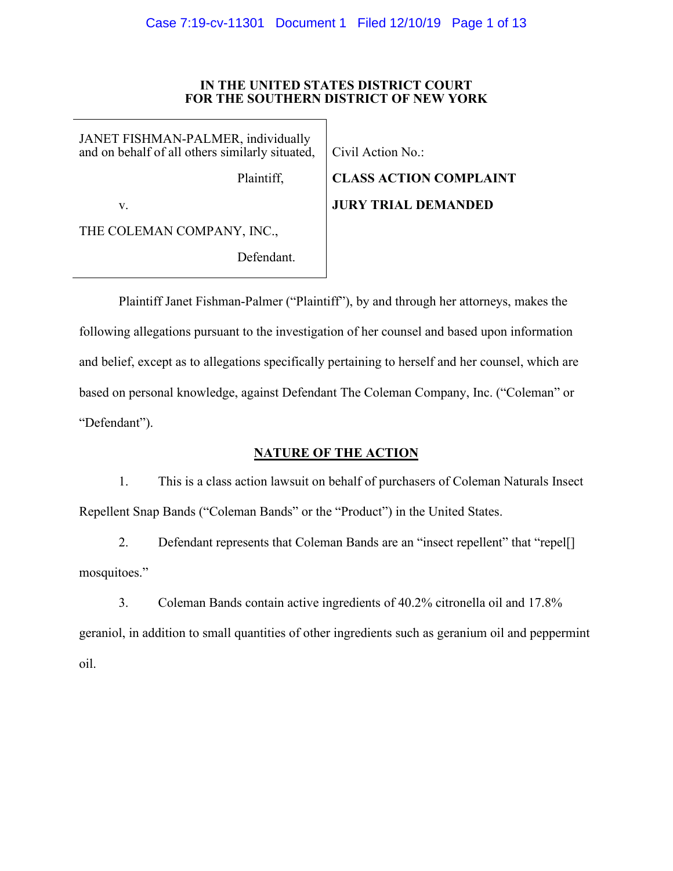### **IN THE UNITED STATES DISTRICT COURT FOR THE SOUTHERN DISTRICT OF NEW YORK**

JANET FISHMAN-PALMER, individually and on behalf of all others similarly situated,

Plaintiff,

Civil Action No.:

v.

THE COLEMAN COMPANY, INC.,

Defendant.

**CLASS ACTION COMPLAINT JURY TRIAL DEMANDED**

Plaintiff Janet Fishman-Palmer ("Plaintiff"), by and through her attorneys, makes the following allegations pursuant to the investigation of her counsel and based upon information and belief, except as to allegations specifically pertaining to herself and her counsel, which are based on personal knowledge, against Defendant The Coleman Company, Inc. ("Coleman" or "Defendant").

# **NATURE OF THE ACTION**

1. This is a class action lawsuit on behalf of purchasers of Coleman Naturals Insect Repellent Snap Bands ("Coleman Bands" or the "Product") in the United States.

2. Defendant represents that Coleman Bands are an "insect repellent" that "repell mosquitoes."

3. Coleman Bands contain active ingredients of 40.2% citronella oil and 17.8% geraniol, in addition to small quantities of other ingredients such as geranium oil and peppermint oil.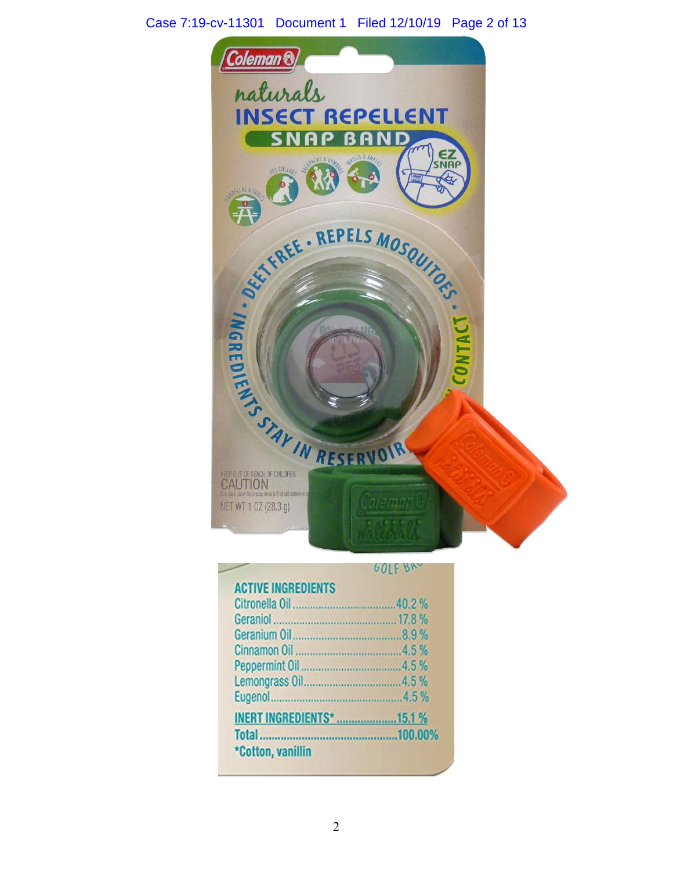# Case 7:19-cv-11301 Document 1 Filed 12/10/19 Page 2 of 13



| <b>ACTIVE INGREDIENTS</b>        |  |
|----------------------------------|--|
|                                  |  |
|                                  |  |
|                                  |  |
|                                  |  |
|                                  |  |
|                                  |  |
|                                  |  |
| <b>INERT INGREDIENTS* 15.1 %</b> |  |
|                                  |  |
| *Cotton, vanillin                |  |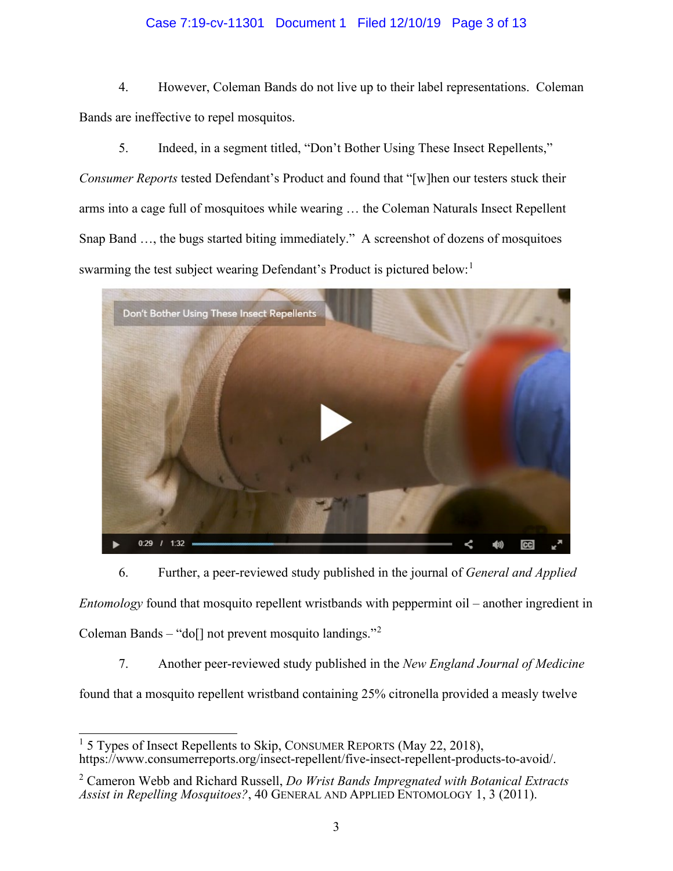# Case 7:19-cv-11301 Document 1 Filed 12/10/19 Page 3 of 13

4. However, Coleman Bands do not live up to their label representations. Coleman Bands are ineffective to repel mosquitos.

5. Indeed, in a segment titled, "Don't Bother Using These Insect Repellents,"

*Consumer Reports* tested Defendant's Product and found that "[w]hen our testers stuck their arms into a cage full of mosquitoes while wearing … the Coleman Naturals Insect Repellent Snap Band …, the bugs started biting immediately." A screenshot of dozens of mosquitoes swarming the test subject wearing Defendant's Product is pictured below:<sup>[1](#page-2-0)</sup>



6. Further, a peer-reviewed study published in the journal of *General and Applied Entomology* found that mosquito repellent wristbands with peppermint oil – another ingredient in Coleman Bands – "do<sup>[]</sup> not prevent mosquito landings."<sup>[2](#page-2-1)</sup>

7. Another peer-reviewed study published in the *New England Journal of Medicine* 

found that a mosquito repellent wristband containing 25% citronella provided a measly twelve

<span id="page-2-0"></span> $1.5$  Types of Insect Repellents to Skip, CONSUMER REPORTS (May 22, 2018), https://www.consumerreports.org/insect-repellent/five-insect-repellent-products-to-avoid/.

<span id="page-2-1"></span><sup>2</sup> Cameron Webb and Richard Russell, *Do Wrist Bands Impregnated with Botanical Extracts Assist in Repelling Mosquitoes?*, 40 GENERAL AND APPLIED ENTOMOLOGY 1, 3 (2011).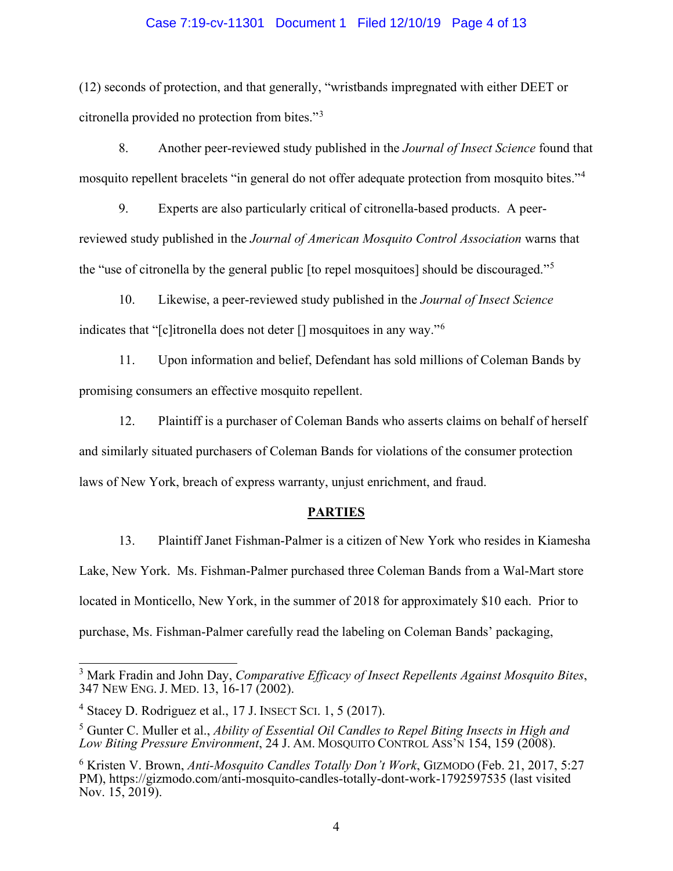### Case 7:19-cv-11301 Document 1 Filed 12/10/19 Page 4 of 13

(12) seconds of protection, and that generally, "wristbands impregnated with either DEET or citronella provided no protection from bites."[3](#page-3-0)

8. Another peer-reviewed study published in the *Journal of Insect Science* found that mosquito repellent bracelets "in general do not offer adequate protection from mosquito bites."[4](#page-3-1)

9. Experts are also particularly critical of citronella-based products. A peerreviewed study published in the *Journal of American Mosquito Control Association* warns that the "use of citronella by the general public [to repel mosquitoes] should be discouraged."[5](#page-3-2)

10. Likewise, a peer-reviewed study published in the *Journal of Insect Science* indicates that "[c]itronella does not deter [] mosquitoes in any way."[6](#page-3-3)

11. Upon information and belief, Defendant has sold millions of Coleman Bands by promising consumers an effective mosquito repellent.

12. Plaintiff is a purchaser of Coleman Bands who asserts claims on behalf of herself and similarly situated purchasers of Coleman Bands for violations of the consumer protection laws of New York, breach of express warranty, unjust enrichment, and fraud.

### **PARTIES**

13. Plaintiff Janet Fishman-Palmer is a citizen of New York who resides in Kiamesha Lake, New York. Ms. Fishman-Palmer purchased three Coleman Bands from a Wal-Mart store located in Monticello, New York, in the summer of 2018 for approximately \$10 each. Prior to purchase, Ms. Fishman-Palmer carefully read the labeling on Coleman Bands' packaging,

<span id="page-3-0"></span><sup>3</sup> Mark Fradin and John Day, *Comparative Efficacy of Insect Repellents Against Mosquito Bites*, 347 NEW ENG. J. MED. 13, 16-17 (2002).

<span id="page-3-1"></span> $4$  Stacey D. Rodriguez et al., 17 J. INSECT SCI. 1, 5 (2017).

<span id="page-3-2"></span><sup>5</sup> Gunter C. Muller et al., *Ability of Essential Oil Candles to Repel Biting Insects in High and Low Biting Pressure Environment*, 24 J. AM. MOSQUITO CONTROL ASS'N 154, 159 (2008).

<span id="page-3-3"></span><sup>6</sup> Kristen V. Brown, *Anti-Mosquito Candles Totally Don't Work*, GIZMODO (Feb. 21, 2017, 5:27 PM), https://gizmodo.com/anti-mosquito-candles-totally-dont-work-1792597535 (last visited Nov. 15, 2019).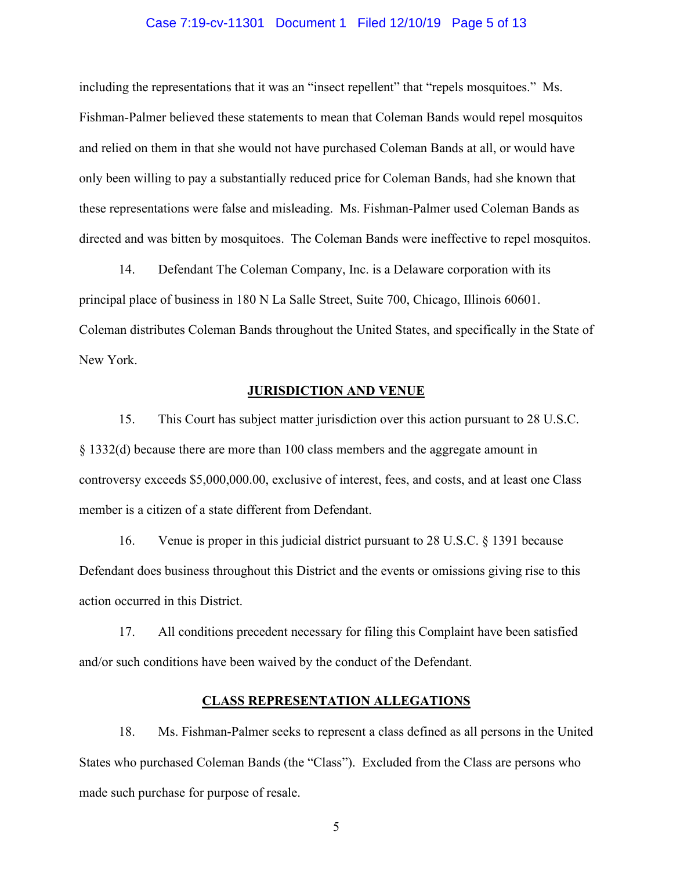### Case 7:19-cv-11301 Document 1 Filed 12/10/19 Page 5 of 13

including the representations that it was an "insect repellent" that "repels mosquitoes." Ms. Fishman-Palmer believed these statements to mean that Coleman Bands would repel mosquitos and relied on them in that she would not have purchased Coleman Bands at all, or would have only been willing to pay a substantially reduced price for Coleman Bands, had she known that these representations were false and misleading. Ms. Fishman-Palmer used Coleman Bands as directed and was bitten by mosquitoes. The Coleman Bands were ineffective to repel mosquitos.

14. Defendant The Coleman Company, Inc. is a Delaware corporation with its principal place of business in 180 N La Salle Street, Suite 700, Chicago, Illinois 60601. Coleman distributes Coleman Bands throughout the United States, and specifically in the State of New York.

### **JURISDICTION AND VENUE**

15. This Court has subject matter jurisdiction over this action pursuant to 28 U.S.C. § 1332(d) because there are more than 100 class members and the aggregate amount in controversy exceeds \$5,000,000.00, exclusive of interest, fees, and costs, and at least one Class member is a citizen of a state different from Defendant.

16. Venue is proper in this judicial district pursuant to 28 U.S.C. § 1391 because Defendant does business throughout this District and the events or omissions giving rise to this action occurred in this District.

17. All conditions precedent necessary for filing this Complaint have been satisfied and/or such conditions have been waived by the conduct of the Defendant.

### **CLASS REPRESENTATION ALLEGATIONS**

18. Ms. Fishman-Palmer seeks to represent a class defined as all persons in the United States who purchased Coleman Bands (the "Class"). Excluded from the Class are persons who made such purchase for purpose of resale.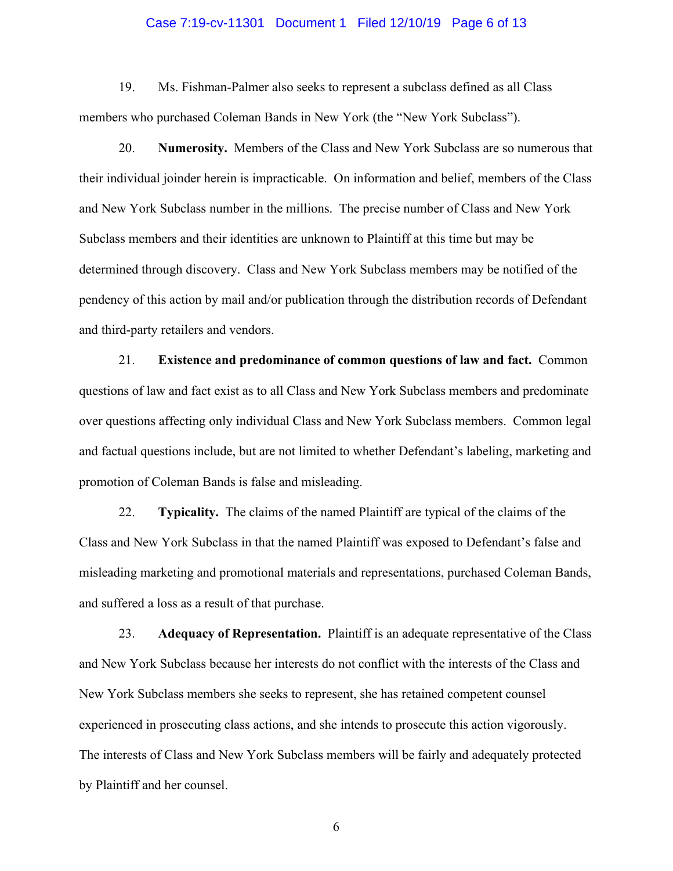### Case 7:19-cv-11301 Document 1 Filed 12/10/19 Page 6 of 13

19. Ms. Fishman-Palmer also seeks to represent a subclass defined as all Class members who purchased Coleman Bands in New York (the "New York Subclass").

20. **Numerosity.** Members of the Class and New York Subclass are so numerous that their individual joinder herein is impracticable. On information and belief, members of the Class and New York Subclass number in the millions. The precise number of Class and New York Subclass members and their identities are unknown to Plaintiff at this time but may be determined through discovery. Class and New York Subclass members may be notified of the pendency of this action by mail and/or publication through the distribution records of Defendant and third-party retailers and vendors.

21. **Existence and predominance of common questions of law and fact.** Common questions of law and fact exist as to all Class and New York Subclass members and predominate over questions affecting only individual Class and New York Subclass members. Common legal and factual questions include, but are not limited to whether Defendant's labeling, marketing and promotion of Coleman Bands is false and misleading.

22. **Typicality.** The claims of the named Plaintiff are typical of the claims of the Class and New York Subclass in that the named Plaintiff was exposed to Defendant's false and misleading marketing and promotional materials and representations, purchased Coleman Bands, and suffered a loss as a result of that purchase.

23. **Adequacy of Representation.** Plaintiff is an adequate representative of the Class and New York Subclass because her interests do not conflict with the interests of the Class and New York Subclass members she seeks to represent, she has retained competent counsel experienced in prosecuting class actions, and she intends to prosecute this action vigorously. The interests of Class and New York Subclass members will be fairly and adequately protected by Plaintiff and her counsel.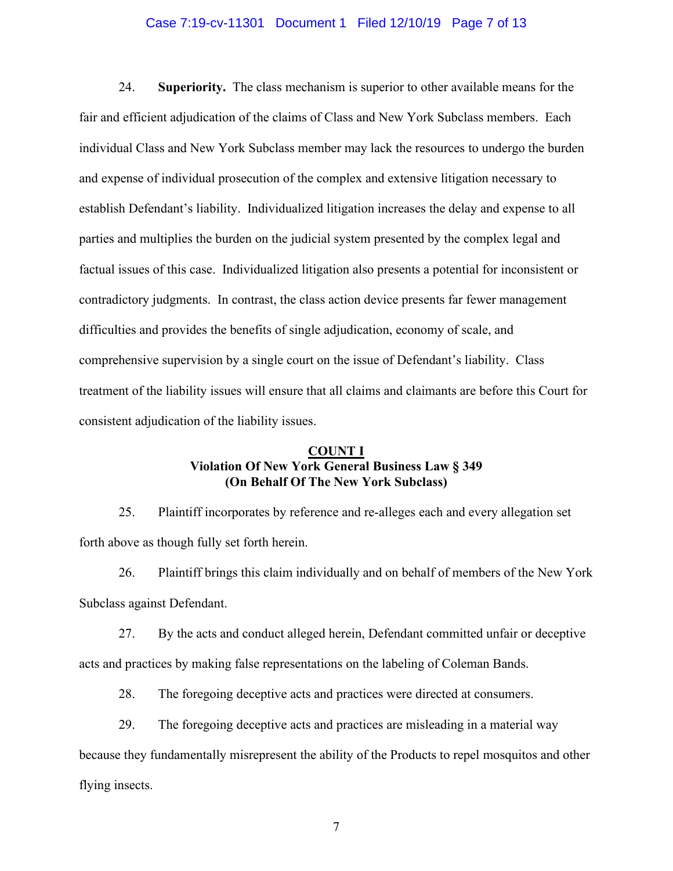### Case 7:19-cv-11301 Document 1 Filed 12/10/19 Page 7 of 13

24. **Superiority.** The class mechanism is superior to other available means for the fair and efficient adjudication of the claims of Class and New York Subclass members. Each individual Class and New York Subclass member may lack the resources to undergo the burden and expense of individual prosecution of the complex and extensive litigation necessary to establish Defendant's liability. Individualized litigation increases the delay and expense to all parties and multiplies the burden on the judicial system presented by the complex legal and factual issues of this case. Individualized litigation also presents a potential for inconsistent or contradictory judgments. In contrast, the class action device presents far fewer management difficulties and provides the benefits of single adjudication, economy of scale, and comprehensive supervision by a single court on the issue of Defendant's liability. Class treatment of the liability issues will ensure that all claims and claimants are before this Court for consistent adjudication of the liability issues.

# **COUNT I Violation Of New York General Business Law § 349 (On Behalf Of The New York Subclass)**

25. Plaintiff incorporates by reference and re-alleges each and every allegation set forth above as though fully set forth herein.

26. Plaintiff brings this claim individually and on behalf of members of the New York Subclass against Defendant.

27. By the acts and conduct alleged herein, Defendant committed unfair or deceptive acts and practices by making false representations on the labeling of Coleman Bands.

28. The foregoing deceptive acts and practices were directed at consumers.

29. The foregoing deceptive acts and practices are misleading in a material way

because they fundamentally misrepresent the ability of the Products to repel mosquitos and other

flying insects.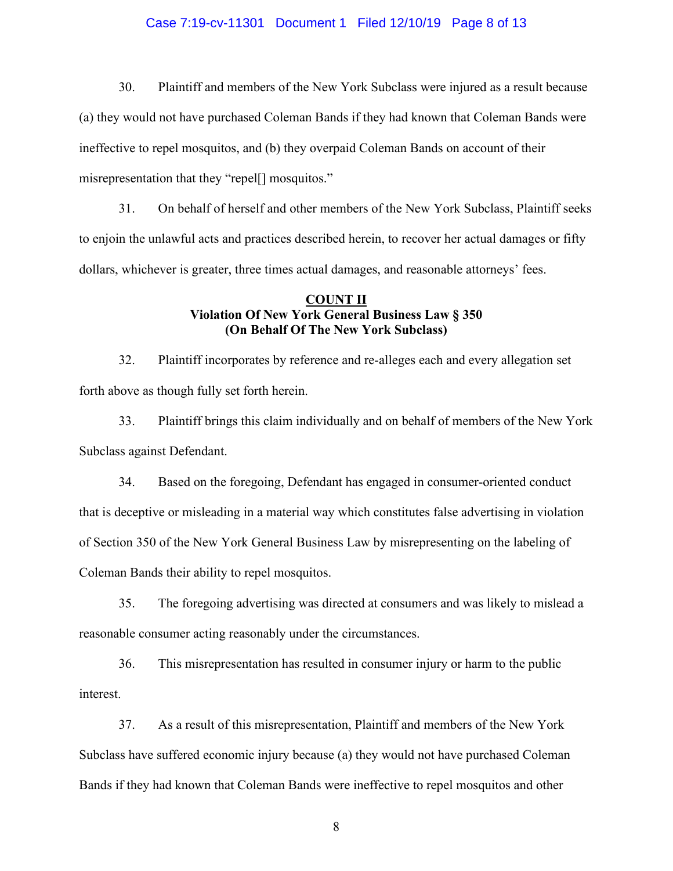### Case 7:19-cv-11301 Document 1 Filed 12/10/19 Page 8 of 13

30. Plaintiff and members of the New York Subclass were injured as a result because (a) they would not have purchased Coleman Bands if they had known that Coleman Bands were ineffective to repel mosquitos, and (b) they overpaid Coleman Bands on account of their misrepresentation that they "repel<sup>[]</sup> mosquitos."

31. On behalf of herself and other members of the New York Subclass, Plaintiff seeks to enjoin the unlawful acts and practices described herein, to recover her actual damages or fifty dollars, whichever is greater, three times actual damages, and reasonable attorneys' fees.

### **COUNT II Violation Of New York General Business Law § 350 (On Behalf Of The New York Subclass)**

32. Plaintiff incorporates by reference and re-alleges each and every allegation set forth above as though fully set forth herein.

33. Plaintiff brings this claim individually and on behalf of members of the New York Subclass against Defendant.

34. Based on the foregoing, Defendant has engaged in consumer-oriented conduct that is deceptive or misleading in a material way which constitutes false advertising in violation of Section 350 of the New York General Business Law by misrepresenting on the labeling of Coleman Bands their ability to repel mosquitos.

35. The foregoing advertising was directed at consumers and was likely to mislead a reasonable consumer acting reasonably under the circumstances.

36. This misrepresentation has resulted in consumer injury or harm to the public interest.

37. As a result of this misrepresentation, Plaintiff and members of the New York Subclass have suffered economic injury because (a) they would not have purchased Coleman Bands if they had known that Coleman Bands were ineffective to repel mosquitos and other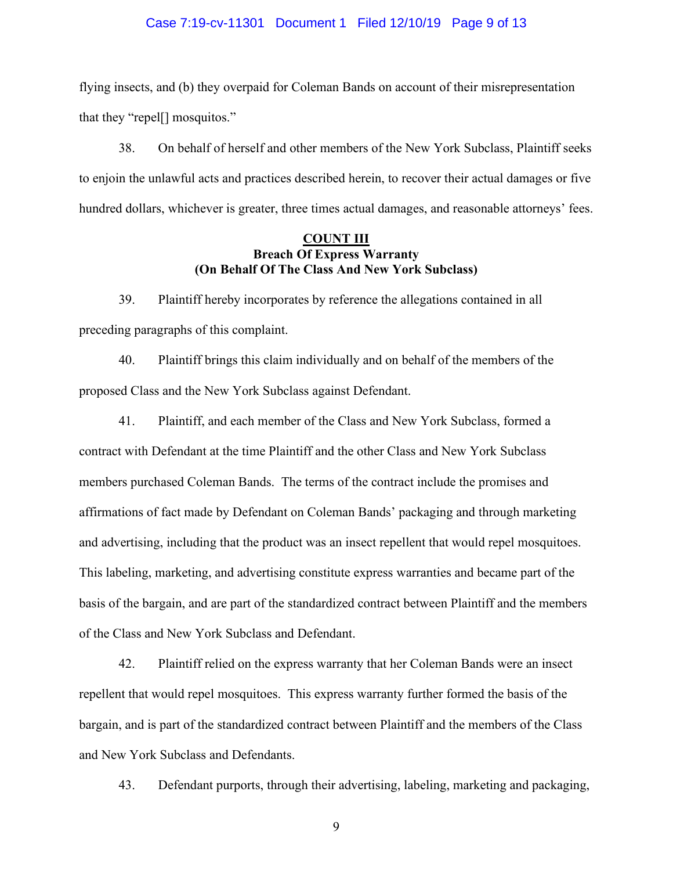### Case 7:19-cv-11301 Document 1 Filed 12/10/19 Page 9 of 13

flying insects, and (b) they overpaid for Coleman Bands on account of their misrepresentation that they "repel[] mosquitos."

38. On behalf of herself and other members of the New York Subclass, Plaintiff seeks to enjoin the unlawful acts and practices described herein, to recover their actual damages or five hundred dollars, whichever is greater, three times actual damages, and reasonable attorneys' fees.

### **COUNT III Breach Of Express Warranty (On Behalf Of The Class And New York Subclass)**

39. Plaintiff hereby incorporates by reference the allegations contained in all preceding paragraphs of this complaint.

40. Plaintiff brings this claim individually and on behalf of the members of the proposed Class and the New York Subclass against Defendant.

41. Plaintiff, and each member of the Class and New York Subclass, formed a contract with Defendant at the time Plaintiff and the other Class and New York Subclass members purchased Coleman Bands. The terms of the contract include the promises and affirmations of fact made by Defendant on Coleman Bands' packaging and through marketing and advertising, including that the product was an insect repellent that would repel mosquitoes. This labeling, marketing, and advertising constitute express warranties and became part of the basis of the bargain, and are part of the standardized contract between Plaintiff and the members of the Class and New York Subclass and Defendant.

42. Plaintiff relied on the express warranty that her Coleman Bands were an insect repellent that would repel mosquitoes. This express warranty further formed the basis of the bargain, and is part of the standardized contract between Plaintiff and the members of the Class and New York Subclass and Defendants.

43. Defendant purports, through their advertising, labeling, marketing and packaging,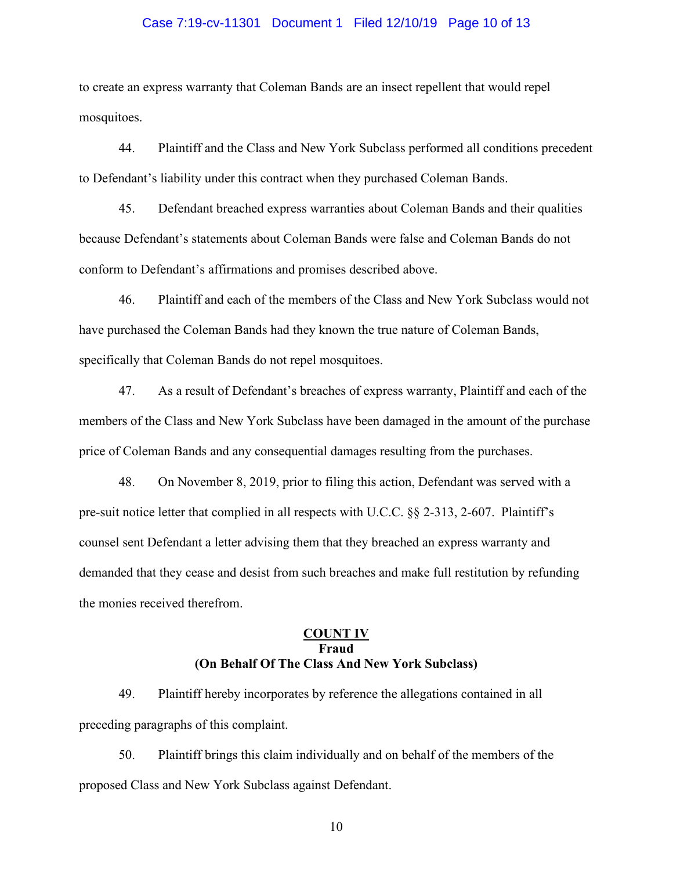#### Case 7:19-cv-11301 Document 1 Filed 12/10/19 Page 10 of 13

to create an express warranty that Coleman Bands are an insect repellent that would repel mosquitoes.

44. Plaintiff and the Class and New York Subclass performed all conditions precedent to Defendant's liability under this contract when they purchased Coleman Bands.

45. Defendant breached express warranties about Coleman Bands and their qualities because Defendant's statements about Coleman Bands were false and Coleman Bands do not conform to Defendant's affirmations and promises described above.

46. Plaintiff and each of the members of the Class and New York Subclass would not have purchased the Coleman Bands had they known the true nature of Coleman Bands, specifically that Coleman Bands do not repel mosquitoes.

47. As a result of Defendant's breaches of express warranty, Plaintiff and each of the members of the Class and New York Subclass have been damaged in the amount of the purchase price of Coleman Bands and any consequential damages resulting from the purchases.

48. On November 8, 2019, prior to filing this action, Defendant was served with a pre-suit notice letter that complied in all respects with U.C.C. §§ 2-313, 2-607. Plaintiff's counsel sent Defendant a letter advising them that they breached an express warranty and demanded that they cease and desist from such breaches and make full restitution by refunding the monies received therefrom.

# **COUNT IV Fraud (On Behalf Of The Class And New York Subclass)**

49. Plaintiff hereby incorporates by reference the allegations contained in all preceding paragraphs of this complaint.

50. Plaintiff brings this claim individually and on behalf of the members of the proposed Class and New York Subclass against Defendant.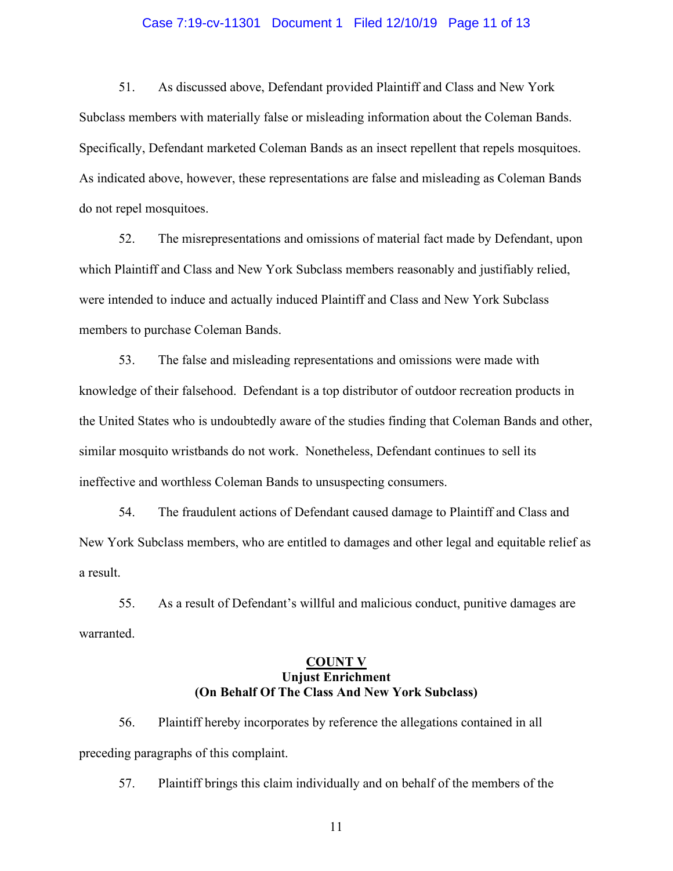#### Case 7:19-cv-11301 Document 1 Filed 12/10/19 Page 11 of 13

51. As discussed above, Defendant provided Plaintiff and Class and New York Subclass members with materially false or misleading information about the Coleman Bands. Specifically, Defendant marketed Coleman Bands as an insect repellent that repels mosquitoes. As indicated above, however, these representations are false and misleading as Coleman Bands do not repel mosquitoes.

52. The misrepresentations and omissions of material fact made by Defendant, upon which Plaintiff and Class and New York Subclass members reasonably and justifiably relied, were intended to induce and actually induced Plaintiff and Class and New York Subclass members to purchase Coleman Bands.

53. The false and misleading representations and omissions were made with knowledge of their falsehood. Defendant is a top distributor of outdoor recreation products in the United States who is undoubtedly aware of the studies finding that Coleman Bands and other, similar mosquito wristbands do not work. Nonetheless, Defendant continues to sell its ineffective and worthless Coleman Bands to unsuspecting consumers.

54. The fraudulent actions of Defendant caused damage to Plaintiff and Class and New York Subclass members, who are entitled to damages and other legal and equitable relief as a result.

55. As a result of Defendant's willful and malicious conduct, punitive damages are warranted.

### **COUNT V Unjust Enrichment (On Behalf Of The Class And New York Subclass)**

56. Plaintiff hereby incorporates by reference the allegations contained in all preceding paragraphs of this complaint.

57. Plaintiff brings this claim individually and on behalf of the members of the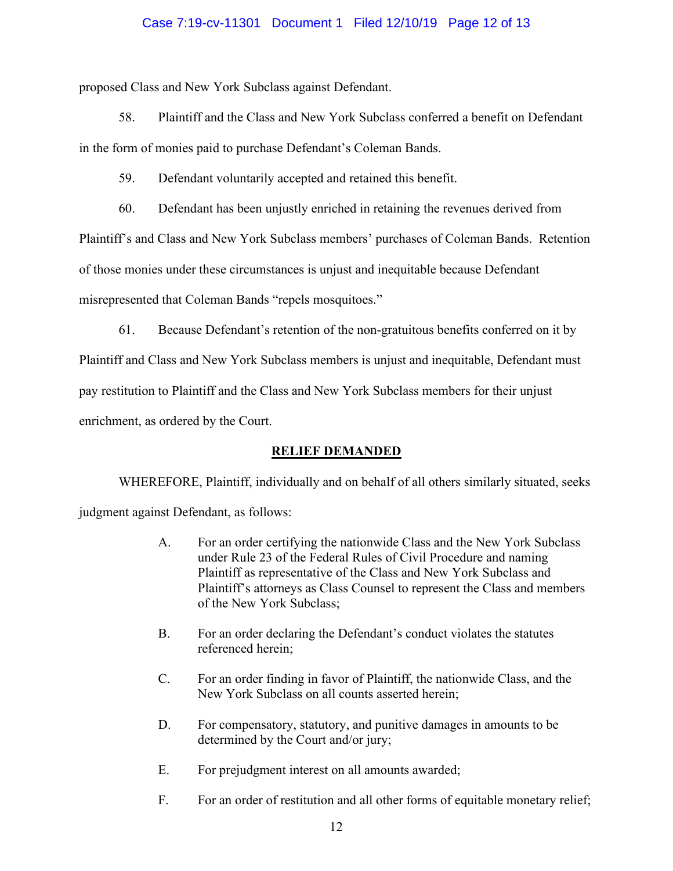### Case 7:19-cv-11301 Document 1 Filed 12/10/19 Page 12 of 13

proposed Class and New York Subclass against Defendant.

58. Plaintiff and the Class and New York Subclass conferred a benefit on Defendant in the form of monies paid to purchase Defendant's Coleman Bands.

59. Defendant voluntarily accepted and retained this benefit.

60. Defendant has been unjustly enriched in retaining the revenues derived from

Plaintiff's and Class and New York Subclass members' purchases of Coleman Bands. Retention

of those monies under these circumstances is unjust and inequitable because Defendant

misrepresented that Coleman Bands "repels mosquitoes."

61. Because Defendant's retention of the non-gratuitous benefits conferred on it by

Plaintiff and Class and New York Subclass members is unjust and inequitable, Defendant must pay restitution to Plaintiff and the Class and New York Subclass members for their unjust

enrichment, as ordered by the Court.

### **RELIEF DEMANDED**

WHEREFORE, Plaintiff, individually and on behalf of all others similarly situated, seeks judgment against Defendant, as follows:

- A. For an order certifying the nationwide Class and the New York Subclass under Rule 23 of the Federal Rules of Civil Procedure and naming Plaintiff as representative of the Class and New York Subclass and Plaintiff's attorneys as Class Counsel to represent the Class and members of the New York Subclass;
- B. For an order declaring the Defendant's conduct violates the statutes referenced herein;
- C. For an order finding in favor of Plaintiff, the nationwide Class, and the New York Subclass on all counts asserted herein;
- D. For compensatory, statutory, and punitive damages in amounts to be determined by the Court and/or jury;
- E. For prejudgment interest on all amounts awarded;
- F. For an order of restitution and all other forms of equitable monetary relief;